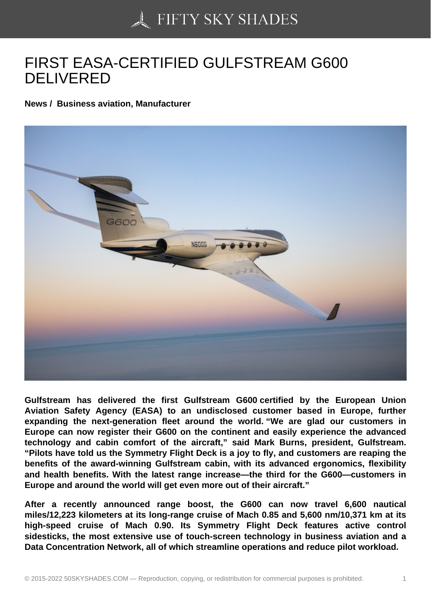## [FIRST EASA-CERTIFI](https://50skyshades.com)ED GULFSTREAM G600 DELIVERED

News / Business aviation, Manufacturer

Gulfstream has delivered the first Gulfstream G600 certified by the European Union Aviation Safety Agency (EASA) to an undisclosed customer based in Europe, further expanding the next-generation fleet around the world. "We are glad our customers in Europe can now register their G600 on the continent and easily experience the advanced technology and cabin comfort of the aircraft," said Mark Burns, president, Gulfstream. "Pilots have told us the Symmetry Flight Deck is a joy to fly, and customers are reaping the benefits of the award-winning Gulfstream cabin, with its advanced ergonomics, flexibility and health benefits. With the latest range increase—the third for the G600—customers in Europe and around the world will get even more out of their aircraft."

After a recently announced range boost, the G600 can now travel 6,600 nautical miles/12,223 kilometers at its long-range cruise of Mach 0.85 and 5,600 nm/10,371 km at its high-speed cruise of Mach 0.90. Its Symmetry Flight Deck features active control sidesticks, the most extensive use of touch-screen technology in business aviation and a Data Concentration Network, all of which streamline operations and reduce pilot workload.